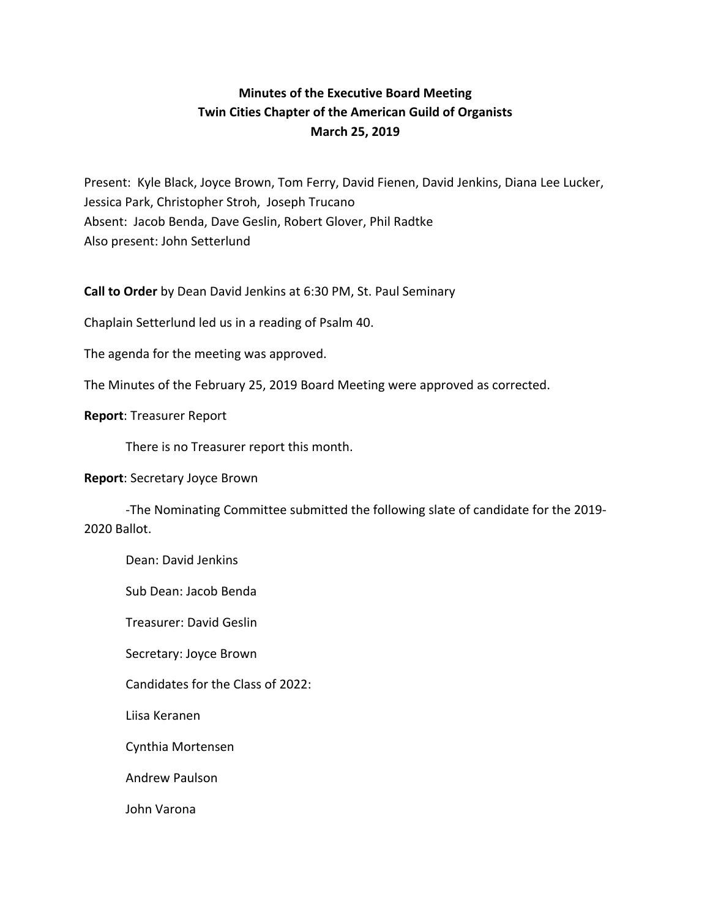# **Minutes of the Executive Board Meeting Twin Cities Chapter of the American Guild of Organists March 25, 2019**

Present: Kyle Black, Joyce Brown, Tom Ferry, David Fienen, David Jenkins, Diana Lee Lucker, Jessica Park, Christopher Stroh, Joseph Trucano Absent: Jacob Benda, Dave Geslin, Robert Glover, Phil Radtke Also present: John Setterlund

**Call to Order** by Dean David Jenkins at 6:30 PM, St. Paul Seminary

Chaplain Setterlund led us in a reading of Psalm 40.

The agenda for the meeting was approved.

The Minutes of the February 25, 2019 Board Meeting were approved as corrected.

### **Report: Treasurer Report**

There is no Treasurer report this month.

#### **Report:** Secretary Joyce Brown

-The Nominating Committee submitted the following slate of candidate for the 2019-2020 Ballot. 

Dean: David Jenkins

Sub Dean: Jacob Benda

Treasurer: David Geslin

Secretary: Joyce Brown

Candidates for the Class of 2022:

Liisa Keranen

Cynthia Mortensen

Andrew Paulson

John Varona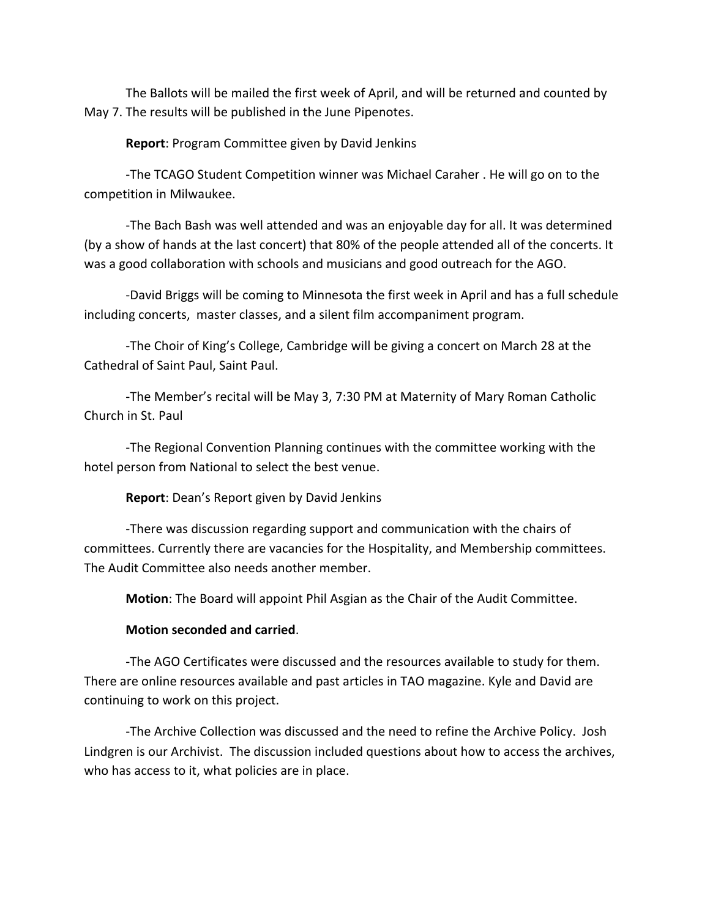The Ballots will be mailed the first week of April, and will be returned and counted by May 7. The results will be published in the June Pipenotes.

**Report:** Program Committee given by David Jenkins

-The TCAGO Student Competition winner was Michael Caraher . He will go on to the competition in Milwaukee.

-The Bach Bash was well attended and was an enjoyable day for all. It was determined (by a show of hands at the last concert) that 80% of the people attended all of the concerts. It was a good collaboration with schools and musicians and good outreach for the AGO.

-David Briggs will be coming to Minnesota the first week in April and has a full schedule including concerts, master classes, and a silent film accompaniment program.

-The Choir of King's College, Cambridge will be giving a concert on March 28 at the Cathedral of Saint Paul, Saint Paul.

-The Member's recital will be May 3, 7:30 PM at Maternity of Mary Roman Catholic Church in St. Paul

-The Regional Convention Planning continues with the committee working with the hotel person from National to select the best venue.

**Report:** Dean's Report given by David Jenkins

-There was discussion regarding support and communication with the chairs of committees. Currently there are vacancies for the Hospitality, and Membership committees. The Audit Committee also needs another member.

**Motion**: The Board will appoint Phil Asgian as the Chair of the Audit Committee.

## **Motion seconded and carried.**

-The AGO Certificates were discussed and the resources available to study for them. There are online resources available and past articles in TAO magazine. Kyle and David are continuing to work on this project.

-The Archive Collection was discussed and the need to refine the Archive Policy. Josh Lindgren is our Archivist. The discussion included questions about how to access the archives, who has access to it, what policies are in place.